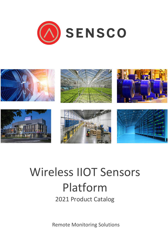



# Wireless IIOT Sensors Platform

2021 Product Catalog

**Remote Monitoring Solutions**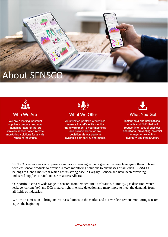# **About SENSCC**



#### Who We Are

We are a leading industrial supplies company and now launching state-of-the art wireless sensor based remote monitoring solutions for a wide range of industries

 $((\mathbf{G})$ **What We Offer** 

An unlimited portfolio of wireless sensors that efficiently monitor the environment & your machines and provide alerts for any deviation via our platform available both for PC and mobile



Instant data and notifications, emails and SMS that will reduce time, cost of business operations, preventing potential damage to production, inventory and infrastructure

SENSCO carries years of experience in various sensing technologies and is now leveraging them to bring wireless sensor products to provide remote monitoring solutions to businesses of all kinds. SENSCO belongs to Cobalt Industrial which has its strong base in Calgary, Canada and have been providing industrial supplies to vital industries across Alberta.

Our portfolio covers wide range of sensors from temperature to vibration, humidity, gas detection, water leakage, current (AC and DC) meters, light intensity detection and many more to meet the demands from all fields of industries.

We are on a mission to bring innovative solutions to the market and our wireless remote monitoring sensors is just the beginning.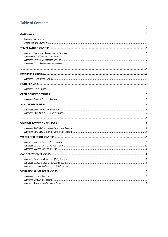#### **Table of Contents**

<span id="page-2-0"></span>

| <b>GAS DETECTION SENSORS</b> | . 6 |
|------------------------------|-----|
|                              |     |
|                              |     |
|                              |     |
|                              |     |
|                              |     |
|                              |     |
|                              |     |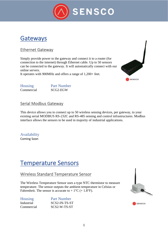

## <span id="page-3-0"></span>Gateways

#### <span id="page-3-1"></span>Ethernet Gateway

Simply provide power to the gateway and connect it to a router (for connection to the internet) through Ethernet cable. Up to 50 sensors can be connected to the gateway. It will automatically connect with our online servers.

It operates with 900MHz and offers a range of 1,200+ feet.



Housing Part Number Commercial SCG2-EGW

#### <span id="page-3-2"></span>Serial Modbus Gateway

This device allows you to connect up to 50 wireless sensing devices, per gateway, to your existing serial MODBUS RS-232C and RS-485 sensing and control infrastructures. Modbus interface allows the sensors to be used in majority of industrial applications.

Availability Coming Soon

# <span id="page-3-3"></span>Temperature Sensors

#### <span id="page-3-4"></span>Wireless Standard Temperature Sensor

The Wireless Temperature Sensor uses a type NTC thermistor to measure temperature. The sensor outputs the ambient temperature in Celsius or Fahrenheit. The sensor is accurate to  $+ 1\degree C + 1.8\degree F$ .

| <b>Housing</b> | <b>Part Number</b> |
|----------------|--------------------|
| Industrial     | SCS2-IN-TS-ST      |
| Commercial     | SCS2-W-TS-ST       |



**SENSCO**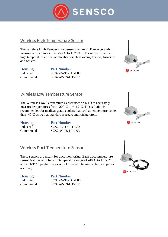

#### <span id="page-4-0"></span>Wireless High Temperature Sensor

The Wireless High Temperature Sensor uses an RTD to accurately measure temperatures from -50°C to +370°C. This sensor is perfect for high temperature critical applications such as ovens, heaters, furnaces and boilers.

Housing Part Number Industrial SCS2-IN-TS-HT-L03 Commercial SCS2-W-TS-HT-L03



#### <span id="page-4-1"></span>Wireless Low Temperature Sensor

The Wireless Low Temperature Sensor uses an RTD to accurately measure temperatures from -200°C to +162°C. This solution is recommended for medical grade coolers that cool at temperature colder than -40°C as well as standard freezers and refrigerators.

| <b>Housing</b> | <b>Part Number</b> |
|----------------|--------------------|
| Industrial     | SCS2-IN-TS-LT-L03  |
| Commercial     | $SCS2-W-TS-LT-L03$ |



#### <span id="page-4-2"></span>Wireless Duct Temperature Sensor

These sensors are meant for duct monitoring. Each duct temperature sensor features a probe with temperature range of  $-40^{\circ}$ C to  $+150^{\circ}$ C and an NTC type thermistor with UL listed plenum cable for superior accuracy.

| <b>Housing</b> | <b>Part Number</b> |
|----------------|--------------------|
| Industrial     | SCS2-IN-TS-DT-L08  |
| Commercial     | SCS2-W-TS-DT-L08   |

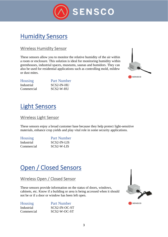

# <span id="page-5-0"></span>Humidity Sensors

#### <span id="page-5-1"></span>Wireless Humidity Sensor

These sensors allow you to monitor the relative humidity of the air within a room or enclosure. This solution is ideal for monitoring humidity within greenhouses, industrial spaces, museums, saunas and humidors. They can also be used for residential applications such as controlling mold, mildew or dust mites.



| <b>Housing</b> | <b>Part Number</b> |
|----------------|--------------------|
| Industrial     | SCS2-IN-HU         |
| Commercial     | SCS2-W-HU          |

# <span id="page-5-2"></span>Light Sensors

#### <span id="page-5-3"></span>Wireless Light Sensor

These sensors enjoy a broad customer base because they help protect light-sensitive materials, enhance crop yields and play vital role in some security applications.

| <b>Housing</b> | <b>Part Number</b> |
|----------------|--------------------|
| Industrial     | SCS2-IN-LIS        |
| Commercial     | SCS2-W-LIS         |

# <span id="page-5-4"></span>Open / Closed Sensors

#### <span id="page-5-5"></span>Wireless Open / Closed Sensor

These sensors provide information on the status of doors, windows, cabinets, etc. Know if a building or area is being accessed when it should not be or if a door or window has been left open.

| <b>Housing</b> | <b>Part Number</b> |
|----------------|--------------------|
| Industrial     | SCS2-IN-OC-ST      |
| Commercial     | SCS2-W-OC-ST       |

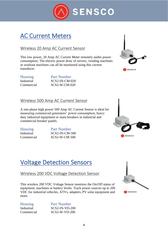

# <span id="page-6-1"></span><span id="page-6-0"></span>AC Current Meters

#### <span id="page-6-2"></span>Wireless 20 Amp AC Current Sensor

This low power, 20 Amp AC Current Meter remotely audits power consumption. The electric power draw of servers, vending machines or workout machines can all be monitored using this current transducer.



Housing Part Number Industrial SCS2-IN-CM-020 Commercial SCS2-W-CM-020

#### <span id="page-6-3"></span>Wireless 500 Amp AC Current Sensor

A one-phase high power 500 Amp AC Current Sensor is ideal for measuring commercial generators' power consumption, heavy duty industrial equipment or main breakers in industrial and commercial breaker panels.

Housing Part Number Industrial SCS2-IN-CM-500 Commercial SCS2-W-CM-500



# Voltage Detection Sensors

#### Wireless 200 VDC Voltage Detection Sensor

This wireless 200 VDC Voltage Sensor monitors the On/Off status of equipment, machines or battery levels. Track power sources up to 200 VDC for industrial vehicles, ATVs, adapters, PV solar equipment and more.

| <b>Housing</b> | <b>Part Number</b> |
|----------------|--------------------|
| Industrial     | $SCS2-IN-VD-200$   |
| Commercial     | $SCS2-W-VD-200$    |

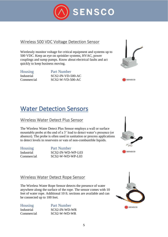

#### <span id="page-7-1"></span><span id="page-7-0"></span>Wireless 500 VDC Voltage Detection Sensor

Wirelessly monitor voltage for critical equipment and systems up to 500 VDC. Keep an eye on sprinkler systems, HVAC, power couplings and sump pumps. Know about electrical faults and act quickly to keep business moving.

Housing Part Number Industrial SCS2-IN-VD-500-AC Commercial SCS2-W-VD-500-AC



**SENSCO** 

# <span id="page-7-2"></span>Water Detection Sensors

#### <span id="page-7-3"></span>Wireless Water Detect Plus Sensor

The Wireless Water Detect Plus Sensor employs a wall or surface mountable probe at the end of a 3' lead to detect water's presence (or absence). The probe is often used in sanitation or process applications to detect levels in reservoirs or vats of non-combustible liquids.

Housing Part Number Industrial SCS2-IN-WD-WP-L03 Commercial SCS2-W-WD-WP-L03



#### Wireless Water Detect Rope Sensor

The Wireless Water Rope Sensor detects the presence of water anywhere along the surface of the rope. The sensor comes with 10 feet of water rope. Additional 10 ft. sections are available and can be connected up to 100 feet.

| <b>Housing</b> | <b>Part Number</b> |
|----------------|--------------------|
| Industrial     | SCS2-IN-WD-WR      |
| Commercial     | SCS2-W-WD-WR       |

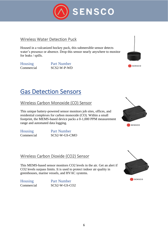

#### <span id="page-8-0"></span>Wireless Water Detection Puck

Housed in a vulcanized hockey puck, this submersible sensor detects water's presence or absence. Drop this sensor nearly anywhere to monitor for leaks / spills.

Housing Part Number Commercial SCS2-W-P-WD



# <span id="page-8-1"></span>Gas Detection Sensors

<span id="page-8-2"></span>Wireless Carbon Monoxide (CO) Sensor

This unique battery-powered sensor monitors job sites, offices, and residential complexes for carbon monoxide (CO). Within a small footprint, the MEMS-based device packs a 0-1,000 PPM measurement range and automated data logging.

Housing Part Number Commercial SCS2-W-GS-CMO

# **A** SENSCO

#### <span id="page-8-3"></span>Wireless Carbon Dioxide (CO2) Sensor

This MEMS-based sensor monitors CO2 levels in the air. Get an alert if CO2 levels surpass limits. It is used to protect indoor air quality in greenhouses, marine vessels, and HVAC systems.

Housing Part Number Commercial SCS2-W-GS-CO2



A SENSCO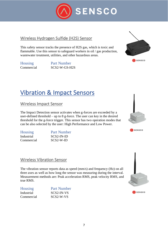

#### <span id="page-9-0"></span>Wireless Hydrogen Sulfide (H2S) Sensor

This safety sensor tracks the presence of H2S gas, which is toxic and flammable. Use this sensor to safeguard workers in oil / gas production, wastewater treatment, utilities, and other hazardous areas.

Housing Part Number Commercial SCS2-W-GS-H2S



# <span id="page-9-1"></span>Vibration & Impact Sensors

<span id="page-9-2"></span>Wireless Impact Sensor

The Impact Detection sensor activates when g-forces are exceeded by a user-defined threshold – up to 8 g-force. The user can key in the desired threshold for the g-force trigger. This sensor has two operation modes that can be also selected by the user: High Performance and Low Power.

| <b>Housing</b> | <b>Part Number</b> |
|----------------|--------------------|
| Industrial     | SCS2-IN-ID         |
| Commercial     | $SCS2-W-ID$        |





#### <span id="page-9-3"></span>Wireless Vibration Sensor

The vibration sensor reports data as speed (mm/s) and frequency (Hz) on all three axes as well as how long the sensor was measuring during the interval. Measurement methods are: Peak acceleration RMS, peak velocity RMS, and true RMS.

| <b>Housing</b> | <b>Part Number</b> |
|----------------|--------------------|
| Industrial     | SCS2-IN-VS         |
| Commercial     | SCS2-W-VS          |

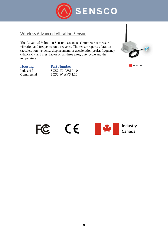

#### <span id="page-10-0"></span>Wireless Advanced Vibration Sensor

The Advanced Vibration Sensor uses an accelerometer to measure vibration and frequency on three axes. The sensor reports vibration (acceleration, velocity, displacement, or acceleration peak), frequency (Hz/RPM), and crest factor on all three axes, duty cycle and the temperature.

| <b>Housing</b> | <b>Part Number</b> |
|----------------|--------------------|
| Industrial     | SCS2-IN-AVS-L10    |
| Commercial     | $SCS2-W-AVS-L10$   |



SENSCO